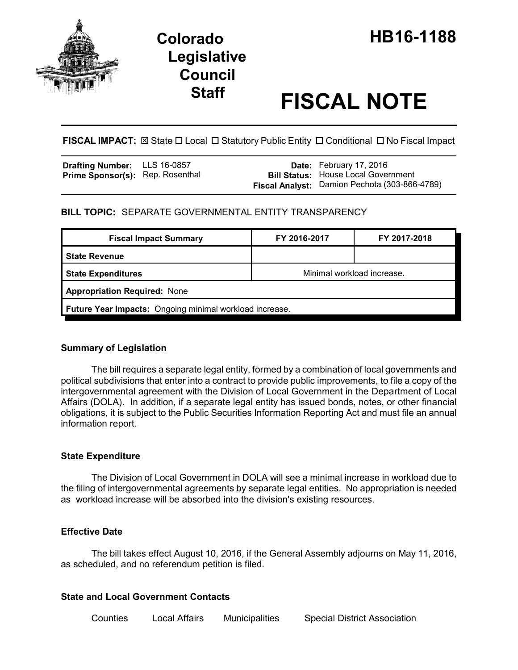

# **Legislative Council**

# **Staff FISCAL NOTE**

FISCAL IMPACT:  $\boxtimes$  State  $\Box$  Local  $\Box$  Statutory Public Entity  $\Box$  Conditional  $\Box$  No Fiscal Impact

| <b>Drafting Number:</b>          | LLS 16-0857 |  |
|----------------------------------|-------------|--|
| Prime Sponsor(s): Rep. Rosenthal |             |  |

**Date:** February 17, 2016 **Bill Status:** House Local Government **Fiscal Analyst:** Damion Pechota (303-866-4789)

# **BILL TOPIC:** SEPARATE GOVERNMENTAL ENTITY TRANSPARENCY

| <b>Fiscal Impact Summary</b>                            | FY 2016-2017               | FY 2017-2018 |  |
|---------------------------------------------------------|----------------------------|--------------|--|
| <b>State Revenue</b>                                    |                            |              |  |
| <b>State Expenditures</b>                               | Minimal workload increase. |              |  |
| <b>Appropriation Required: None</b>                     |                            |              |  |
| Future Year Impacts: Ongoing minimal workload increase. |                            |              |  |

## **Summary of Legislation**

The bill requires a separate legal entity, formed by a combination of local governments and political subdivisions that enter into a contract to provide public improvements, to file a copy of the intergovernmental agreement with the Division of Local Government in the Department of Local Affairs (DOLA). In addition, if a separate legal entity has issued bonds, notes, or other financial obligations, it is subject to the Public Securities Information Reporting Act and must file an annual information report.

# **State Expenditure**

The Division of Local Government in DOLA will see a minimal increase in workload due to the filing of intergovernmental agreements by separate legal entities. No appropriation is needed as workload increase will be absorbed into the division's existing resources.

## **Effective Date**

The bill takes effect August 10, 2016, if the General Assembly adjourns on May 11, 2016, as scheduled, and no referendum petition is filed.

## **State and Local Government Contacts**

Counties Local Affairs Municipalities Special District Association